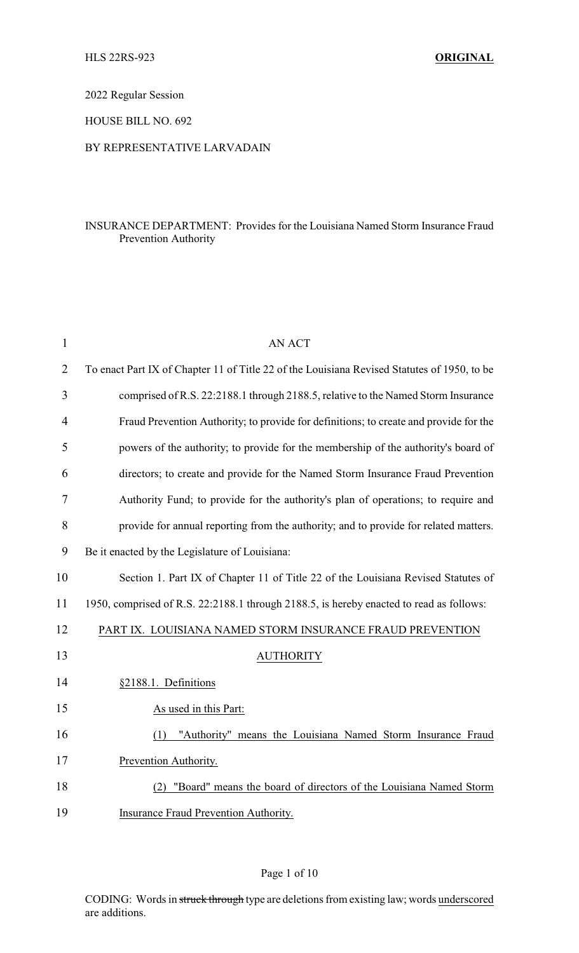2022 Regular Session

HOUSE BILL NO. 692

## BY REPRESENTATIVE LARVADAIN

## INSURANCE DEPARTMENT: Provides for the Louisiana Named Storm Insurance Fraud Prevention Authority

| $\mathbf{1}$   | <b>AN ACT</b>                                                                               |
|----------------|---------------------------------------------------------------------------------------------|
| $\overline{2}$ | To enact Part IX of Chapter 11 of Title 22 of the Louisiana Revised Statutes of 1950, to be |
| 3              | comprised of R.S. 22:2188.1 through 2188.5, relative to the Named Storm Insurance           |
| $\overline{4}$ | Fraud Prevention Authority; to provide for definitions; to create and provide for the       |
| 5              | powers of the authority; to provide for the membership of the authority's board of          |
| 6              | directors; to create and provide for the Named Storm Insurance Fraud Prevention             |
| 7              | Authority Fund; to provide for the authority's plan of operations; to require and           |
| 8              | provide for annual reporting from the authority; and to provide for related matters.        |
| 9              | Be it enacted by the Legislature of Louisiana:                                              |
| 10             | Section 1. Part IX of Chapter 11 of Title 22 of the Louisiana Revised Statutes of           |
| 11             | 1950, comprised of R.S. 22:2188.1 through 2188.5, is hereby enacted to read as follows:     |
| 12             | PART IX. LOUISIANA NAMED STORM INSURANCE FRAUD PREVENTION                                   |
| 13             | <b>AUTHORITY</b>                                                                            |
| 14             | §2188.1. Definitions                                                                        |
| 15             | As used in this Part:                                                                       |
| 16             | "Authority" means the Louisiana Named Storm Insurance Fraud<br>(1)                          |
| 17             | Prevention Authority.                                                                       |
| 18             | "Board" means the board of directors of the Louisiana Named Storm<br>(2)                    |
| 19             | Insurance Fraud Prevention Authority.                                                       |

## Page 1 of 10

CODING: Words in struck through type are deletions from existing law; words underscored are additions.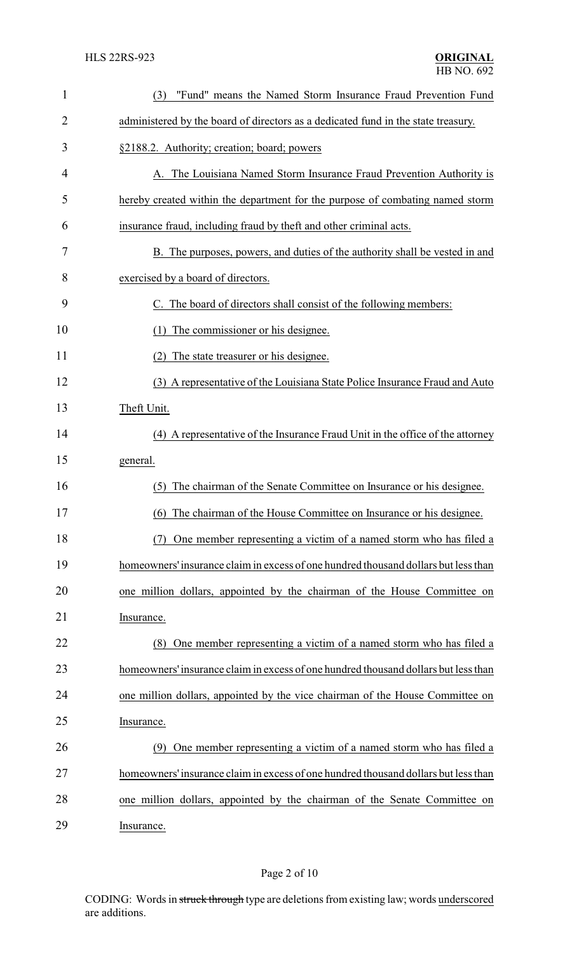| $\mathbf{1}$ | "Fund" means the Named Storm Insurance Fraud Prevention Fund<br>(3)                 |
|--------------|-------------------------------------------------------------------------------------|
| 2            | administered by the board of directors as a dedicated fund in the state treasury.   |
| 3            | §2188.2. Authority; creation; board; powers                                         |
| 4            | A. The Louisiana Named Storm Insurance Fraud Prevention Authority is                |
| 5            | hereby created within the department for the purpose of combating named storm       |
| 6            | insurance fraud, including fraud by theft and other criminal acts.                  |
| 7            | B. The purposes, powers, and duties of the authority shall be vested in and         |
| 8            | exercised by a board of directors.                                                  |
| 9            | C. The board of directors shall consist of the following members:                   |
| 10           | The commissioner or his designee.<br>(1)                                            |
| 11           | The state treasurer or his designee.<br>(2)                                         |
| 12           | (3) A representative of the Louisiana State Police Insurance Fraud and Auto         |
| 13           | Theft Unit.                                                                         |
| 14           | (4) A representative of the Insurance Fraud Unit in the office of the attorney      |
| 15           | general.                                                                            |
| 16           | The chairman of the Senate Committee on Insurance or his designee.<br>(5)           |
| 17           | (6) The chairman of the House Committee on Insurance or his designee.               |
| 18           | One member representing a victim of a named storm who has filed a<br>(7)            |
| 19           | homeowners' insurance claim in excess of one hundred thousand dollars but less than |
| 20           | one million dollars, appointed by the chairman of the House Committee on            |
| 21           | Insurance.                                                                          |
| 22           | One member representing a victim of a named storm who has filed a<br>(8)            |
| 23           | homeowners' insurance claim in excess of one hundred thousand dollars but less than |
| 24           | one million dollars, appointed by the vice chairman of the House Committee on       |
| 25           | Insurance.                                                                          |
| 26           | (9) One member representing a victim of a named storm who has filed a               |
| 27           | homeowners' insurance claim in excess of one hundred thousand dollars but less than |
| 28           | one million dollars, appointed by the chairman of the Senate Committee on           |
| 29           | Insurance.                                                                          |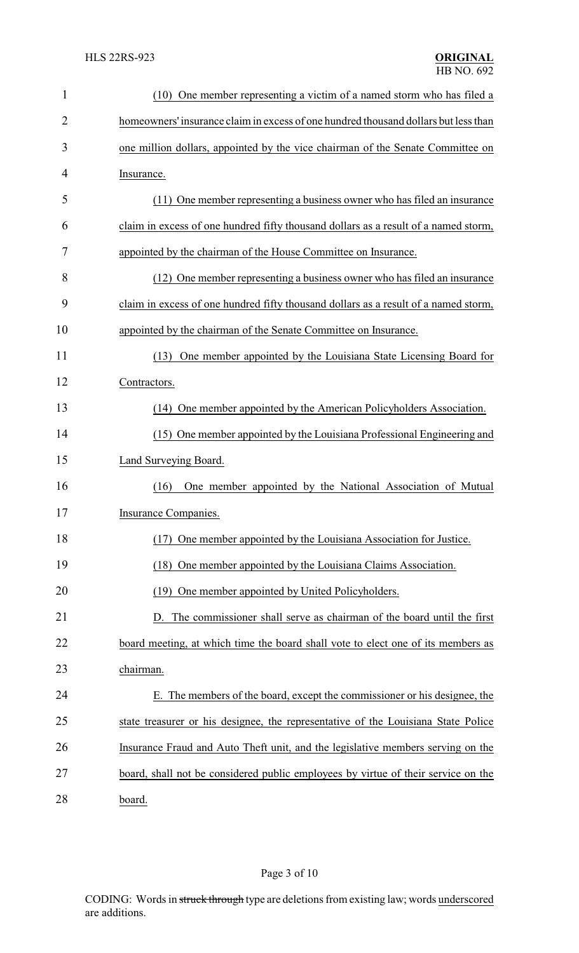| $\mathbf{1}$   | (10) One member representing a victim of a named storm who has filed a              |
|----------------|-------------------------------------------------------------------------------------|
| $\overline{2}$ | homeowners' insurance claim in excess of one hundred thousand dollars but less than |
| 3              | one million dollars, appointed by the vice chairman of the Senate Committee on      |
| 4              | Insurance.                                                                          |
| 5              | (11) One member representing a business owner who has filed an insurance            |
| 6              | claim in excess of one hundred fifty thousand dollars as a result of a named storm, |
| 7              | appointed by the chairman of the House Committee on Insurance.                      |
| 8              | (12) One member representing a business owner who has filed an insurance            |
| 9              | claim in excess of one hundred fifty thousand dollars as a result of a named storm, |
| 10             | appointed by the chairman of the Senate Committee on Insurance.                     |
| 11             | (13) One member appointed by the Louisiana State Licensing Board for                |
| 12             | Contractors.                                                                        |
| 13             | (14) One member appointed by the American Policyholders Association.                |
| 14             | (15) One member appointed by the Louisiana Professional Engineering and             |
| 15             | Land Surveying Board.                                                               |
| 16             | One member appointed by the National Association of Mutual<br>(16)                  |
| 17             | <b>Insurance Companies.</b>                                                         |
| 18             | One member appointed by the Louisiana Association for Justice.<br>(17)              |
| 19             | One member appointed by the Louisiana Claims Association.<br>(18)                   |
| 20             | (19) One member appointed by United Policyholders.                                  |
| 21             | D. The commissioner shall serve as chairman of the board until the first            |
| 22             | board meeting, at which time the board shall vote to elect one of its members as    |
| 23             | chairman.                                                                           |
| 24             | E. The members of the board, except the commissioner or his designee, the           |
| 25             | state treasurer or his designee, the representative of the Louisiana State Police   |
| 26             | Insurance Fraud and Auto Theft unit, and the legislative members serving on the     |
| 27             | board, shall not be considered public employees by virtue of their service on the   |
| 28             | board.                                                                              |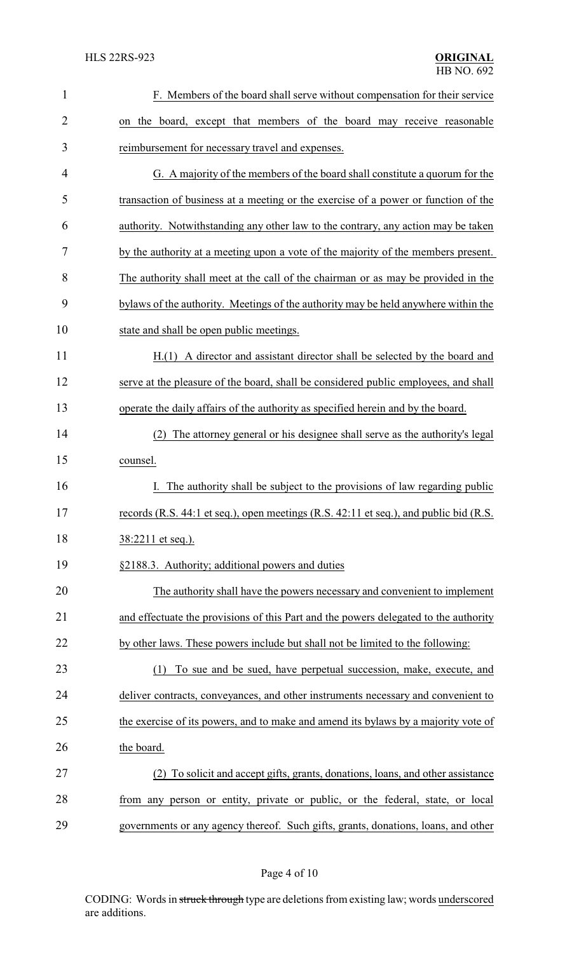| $\mathbf{1}$   | F. Members of the board shall serve without compensation for their service            |
|----------------|---------------------------------------------------------------------------------------|
| $\overline{2}$ | on the board, except that members of the board may receive reasonable                 |
| 3              | reimbursement for necessary travel and expenses.                                      |
| 4              | G. A majority of the members of the board shall constitute a quorum for the           |
| 5              | transaction of business at a meeting or the exercise of a power or function of the    |
| 6              | authority. Notwithstanding any other law to the contrary, any action may be taken     |
| 7              | by the authority at a meeting upon a vote of the majority of the members present.     |
| 8              | The authority shall meet at the call of the chairman or as may be provided in the     |
| 9              | bylaws of the authority. Meetings of the authority may be held anywhere within the    |
| 10             | state and shall be open public meetings.                                              |
| 11             | A director and assistant director shall be selected by the board and<br>H(1)          |
| 12             | serve at the pleasure of the board, shall be considered public employees, and shall   |
| 13             | operate the daily affairs of the authority as specified herein and by the board.      |
| 14             | The attorney general or his designee shall serve as the authority's legal<br>(2)      |
| 15             | counsel.                                                                              |
| 16             | The authority shall be subject to the provisions of law regarding public              |
| 17             | records (R.S. 44:1 et seq.), open meetings (R.S. 42:11 et seq.), and public bid (R.S. |
| 18             | 38:2211 et seq.).                                                                     |
| 19             | §2188.3. Authority; additional powers and duties                                      |
| 20             | The authority shall have the powers necessary and convenient to implement             |
| 21             | and effectuate the provisions of this Part and the powers delegated to the authority  |
| 22             | by other laws. These powers include but shall not be limited to the following:        |
| 23             | To sue and be sued, have perpetual succession, make, execute, and<br>(1)              |
| 24             | deliver contracts, conveyances, and other instruments necessary and convenient to     |
| 25             | the exercise of its powers, and to make and amend its bylaws by a majority vote of    |
| 26             | the board.                                                                            |
| 27             | To solicit and accept gifts, grants, donations, loans, and other assistance<br>(2)    |
| 28             | from any person or entity, private or public, or the federal, state, or local         |
| 29             | governments or any agency thereof. Such gifts, grants, donations, loans, and other    |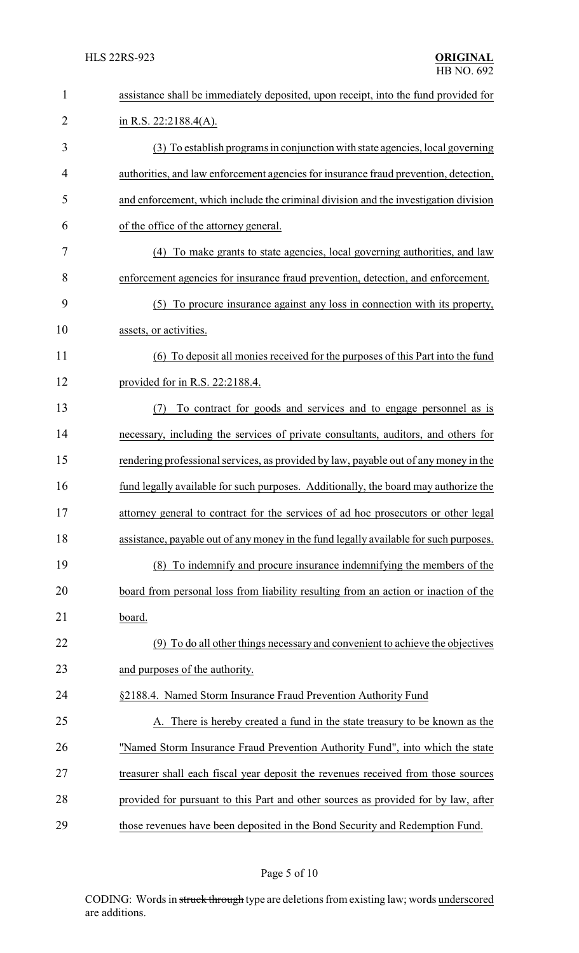| $\mathbf{1}$   | assistance shall be immediately deposited, upon receipt, into the fund provided for   |
|----------------|---------------------------------------------------------------------------------------|
| $\overline{2}$ | in R.S. $22:2188.4(A)$ .                                                              |
| 3              | (3) To establish programs in conjunction with state agencies, local governing         |
| 4              | authorities, and law enforcement agencies for insurance fraud prevention, detection,  |
| 5              | and enforcement, which include the criminal division and the investigation division   |
| 6              | of the office of the attorney general.                                                |
| 7              | (4) To make grants to state agencies, local governing authorities, and law            |
| 8              | enforcement agencies for insurance fraud prevention, detection, and enforcement.      |
| 9              | To procure insurance against any loss in connection with its property,<br>(5)         |
| 10             | assets, or activities.                                                                |
| 11             | (6) To deposit all monies received for the purposes of this Part into the fund        |
| 12             | provided for in R.S. $22:2188.4$ .                                                    |
| 13             | To contract for goods and services and to engage personnel as is<br>(7)               |
| 14             | necessary, including the services of private consultants, auditors, and others for    |
| 15             | rendering professional services, as provided by law, payable out of any money in the  |
| 16             | fund legally available for such purposes. Additionally, the board may authorize the   |
| 17             | attorney general to contract for the services of ad hoc prosecutors or other legal    |
| 18             | assistance, payable out of any money in the fund legally available for such purposes. |
| 19             | To indemnify and procure insurance indemnifying the members of the<br>(8)             |
| 20             | board from personal loss from liability resulting from an action or inaction of the   |
| 21             | board.                                                                                |
| 22             | (9) To do all other things necessary and convenient to achieve the objectives         |
| 23             | and purposes of the authority.                                                        |
| 24             | §2188.4. Named Storm Insurance Fraud Prevention Authority Fund                        |
| 25             | A. There is hereby created a fund in the state treasury to be known as the            |
| 26             | "Named Storm Insurance Fraud Prevention Authority Fund", into which the state         |
| 27             | treasurer shall each fiscal year deposit the revenues received from those sources     |
| 28             | provided for pursuant to this Part and other sources as provided for by law, after    |
| 29             | those revenues have been deposited in the Bond Security and Redemption Fund.          |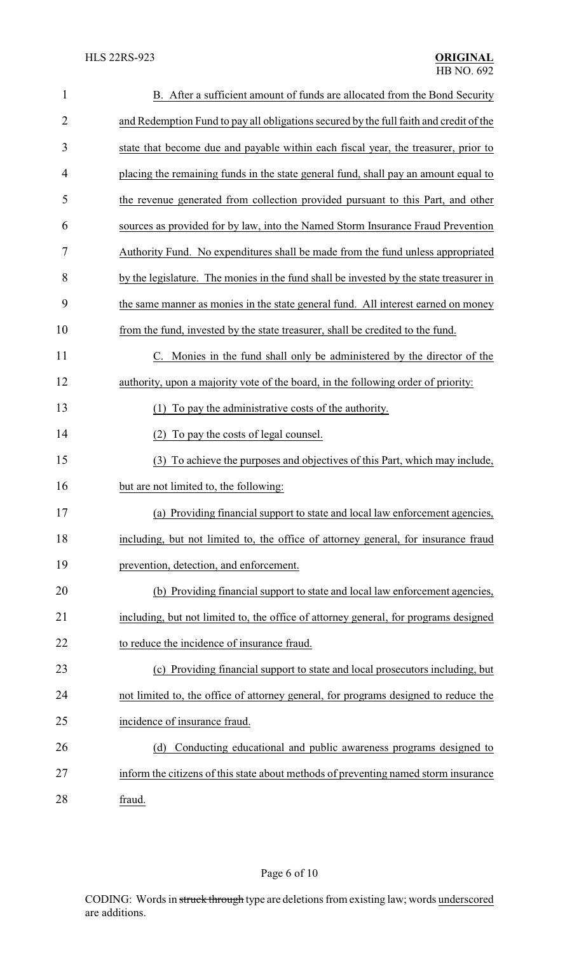| $\mathbf{1}$   | B. After a sufficient amount of funds are allocated from the Bond Security             |
|----------------|----------------------------------------------------------------------------------------|
| $\overline{2}$ | and Redemption Fund to pay all obligations secured by the full faith and credit of the |
| 3              | state that become due and payable within each fiscal year, the treasurer, prior to     |
| 4              | placing the remaining funds in the state general fund, shall pay an amount equal to    |
| 5              | the revenue generated from collection provided pursuant to this Part, and other        |
| 6              | sources as provided for by law, into the Named Storm Insurance Fraud Prevention        |
| 7              | Authority Fund. No expenditures shall be made from the fund unless appropriated        |
| 8              | by the legislature. The monies in the fund shall be invested by the state treasurer in |
| 9              | the same manner as monies in the state general fund. All interest earned on money      |
| 10             | from the fund, invested by the state treasurer, shall be credited to the fund.         |
| 11             | C. Monies in the fund shall only be administered by the director of the                |
| 12             | authority, upon a majority vote of the board, in the following order of priority:      |
| 13             | To pay the administrative costs of the authority.<br>(1)                               |
| 14             | To pay the costs of legal counsel.<br>(2)                                              |
| 15             | (3) To achieve the purposes and objectives of this Part, which may include,            |
| 16             | but are not limited to, the following:                                                 |
| 17             | (a) Providing financial support to state and local law enforcement agencies,           |
| 18             | including, but not limited to, the office of attorney general, for insurance fraud     |
| 19             | prevention, detection, and enforcement.                                                |
| 20             | (b) Providing financial support to state and local law enforcement agencies,           |
| 21             | including, but not limited to, the office of attorney general, for programs designed   |
| 22             | to reduce the incidence of insurance fraud.                                            |
| 23             | (c) Providing financial support to state and local prosecutors including, but          |
| 24             | not limited to, the office of attorney general, for programs designed to reduce the    |
| 25             | incidence of insurance fraud.                                                          |
| 26             | Conducting educational and public awareness programs designed to<br>(d)                |
| 27             | inform the citizens of this state about methods of preventing named storm insurance    |
| 28             | fraud.                                                                                 |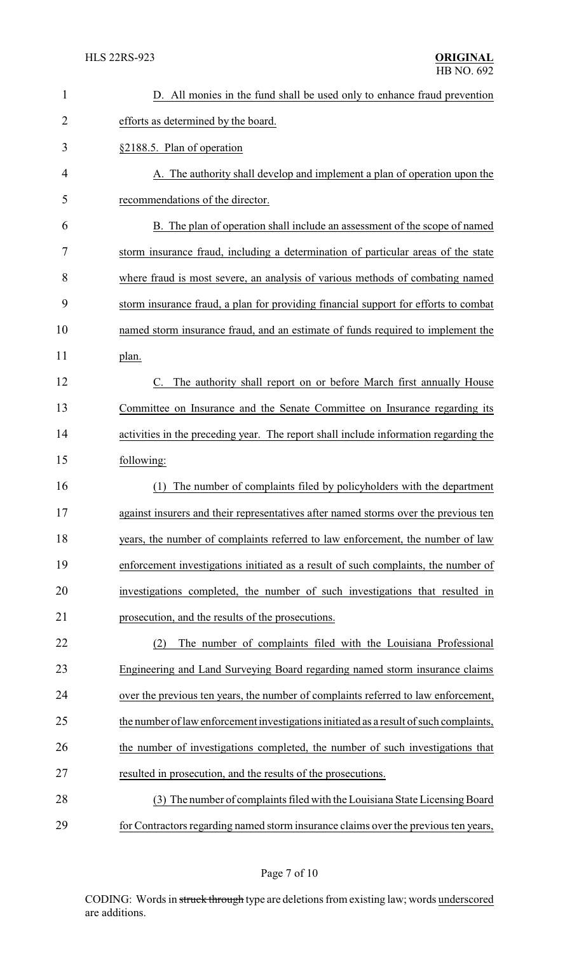| 1  | D. All monies in the fund shall be used only to enhance fraud prevention               |
|----|----------------------------------------------------------------------------------------|
| 2  | efforts as determined by the board.                                                    |
| 3  | §2188.5. Plan of operation                                                             |
| 4  | A. The authority shall develop and implement a plan of operation upon the              |
| 5  | recommendations of the director.                                                       |
| 6  | B. The plan of operation shall include an assessment of the scope of named             |
| 7  | storm insurance fraud, including a determination of particular areas of the state      |
| 8  | where fraud is most severe, an analysis of various methods of combating named          |
| 9  | storm insurance fraud, a plan for providing financial support for efforts to combat    |
| 10 | named storm insurance fraud, and an estimate of funds required to implement the        |
| 11 | plan.                                                                                  |
| 12 | C. The authority shall report on or before March first annually House                  |
| 13 | Committee on Insurance and the Senate Committee on Insurance regarding its             |
| 14 | activities in the preceding year. The report shall include information regarding the   |
| 15 | following:                                                                             |
| 16 | The number of complaints filed by policyholders with the department<br>(1)             |
| 17 | against insurers and their representatives after named storms over the previous ten    |
| 18 | years, the number of complaints referred to law enforcement, the number of law         |
| 19 | enforcement investigations initiated as a result of such complaints, the number of     |
| 20 | investigations completed, the number of such investigations that resulted in           |
| 21 | prosecution, and the results of the prosecutions.                                      |
| 22 | The number of complaints filed with the Louisiana Professional<br>(2)                  |
| 23 | Engineering and Land Surveying Board regarding named storm insurance claims            |
| 24 | over the previous ten years, the number of complaints referred to law enforcement,     |
| 25 | the number of law enforcement investigations initiated as a result of such complaints, |
| 26 | the number of investigations completed, the number of such investigations that         |
| 27 | resulted in prosecution, and the results of the prosecutions.                          |
| 28 | (3) The number of complaints filed with the Louisiana State Licensing Board            |
| 29 | for Contractors regarding named storm insurance claims over the previous ten years,    |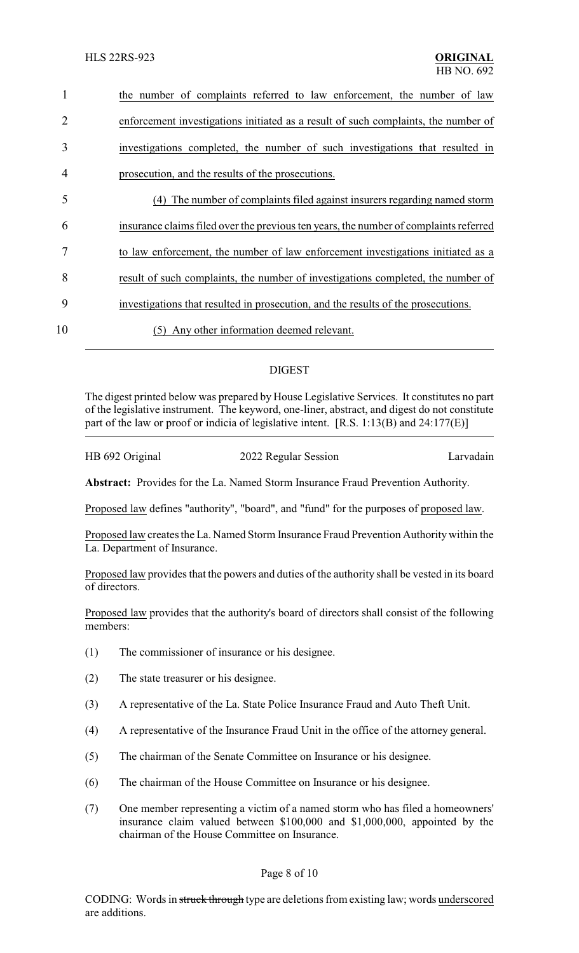| the number of complaints referred to law enforcement, the number of law               |
|---------------------------------------------------------------------------------------|
| enforcement investigations initiated as a result of such complaints, the number of    |
| investigations completed, the number of such investigations that resulted in          |
| prosecution, and the results of the prosecutions.                                     |
| The number of complaints filed against insurers regarding named storm<br>(4)          |
| insurance claims filed over the previous ten years, the number of complaints referred |
| to law enforcement, the number of law enforcement investigations initiated as a       |
| result of such complaints, the number of investigations completed, the number of      |
| investigations that resulted in prosecution, and the results of the prosecutions.     |
| Any other information deemed relevant.<br>(5)                                         |
|                                                                                       |

# DIGEST

The digest printed below was prepared by House Legislative Services. It constitutes no part of the legislative instrument. The keyword, one-liner, abstract, and digest do not constitute part of the law or proof or indicia of legislative intent. [R.S. 1:13(B) and 24:177(E)]

HB 692 Original 2022 Regular Session Larvadain

**Abstract:** Provides for the La. Named Storm Insurance Fraud Prevention Authority.

Proposed law defines "authority", "board", and "fund" for the purposes of proposed law.

Proposed law creates the La. Named Storm Insurance Fraud Prevention Authority within the La. Department of Insurance.

Proposed law provides that the powers and duties of the authority shall be vested in its board of directors.

Proposed law provides that the authority's board of directors shall consist of the following members:

- (1) The commissioner of insurance or his designee.
- (2) The state treasurer or his designee.
- (3) A representative of the La. State Police Insurance Fraud and Auto Theft Unit.
- (4) A representative of the Insurance Fraud Unit in the office of the attorney general.
- (5) The chairman of the Senate Committee on Insurance or his designee.
- (6) The chairman of the House Committee on Insurance or his designee.
- (7) One member representing a victim of a named storm who has filed a homeowners' insurance claim valued between \$100,000 and \$1,000,000, appointed by the chairman of the House Committee on Insurance.

## Page 8 of 10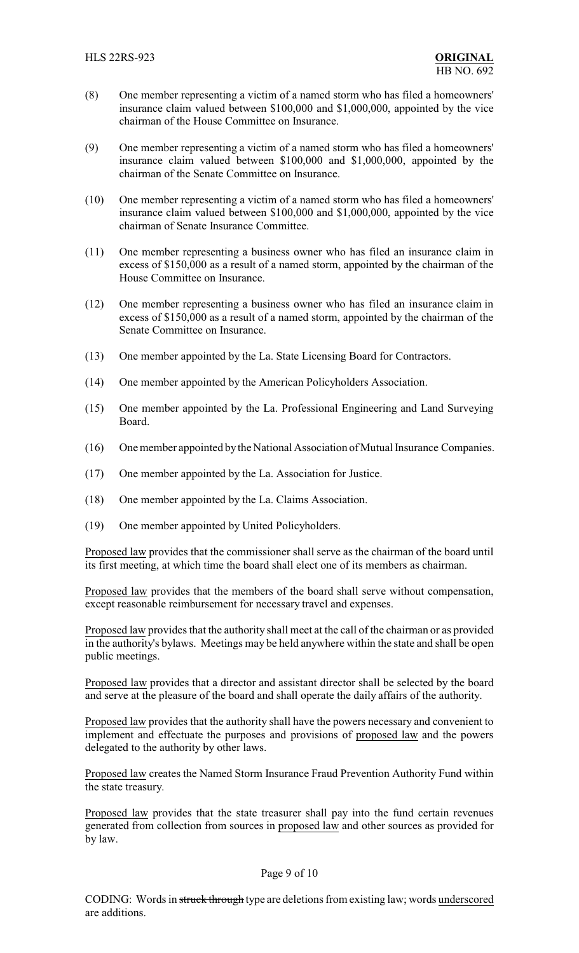- (8) One member representing a victim of a named storm who has filed a homeowners' insurance claim valued between \$100,000 and \$1,000,000, appointed by the vice chairman of the House Committee on Insurance.
- (9) One member representing a victim of a named storm who has filed a homeowners' insurance claim valued between \$100,000 and \$1,000,000, appointed by the chairman of the Senate Committee on Insurance.
- (10) One member representing a victim of a named storm who has filed a homeowners' insurance claim valued between \$100,000 and \$1,000,000, appointed by the vice chairman of Senate Insurance Committee.
- (11) One member representing a business owner who has filed an insurance claim in excess of \$150,000 as a result of a named storm, appointed by the chairman of the House Committee on Insurance.
- (12) One member representing a business owner who has filed an insurance claim in excess of \$150,000 as a result of a named storm, appointed by the chairman of the Senate Committee on Insurance.
- (13) One member appointed by the La. State Licensing Board for Contractors.
- (14) One member appointed by the American Policyholders Association.
- (15) One member appointed by the La. Professional Engineering and Land Surveying Board.
- (16) One member appointed bythe National Association of Mutual Insurance Companies.
- (17) One member appointed by the La. Association for Justice.
- (18) One member appointed by the La. Claims Association.
- (19) One member appointed by United Policyholders.

Proposed law provides that the commissioner shall serve as the chairman of the board until its first meeting, at which time the board shall elect one of its members as chairman.

Proposed law provides that the members of the board shall serve without compensation, except reasonable reimbursement for necessary travel and expenses.

Proposed law provides that the authority shall meet at the call of the chairman or as provided in the authority's bylaws. Meetings may be held anywhere within the state and shall be open public meetings.

Proposed law provides that a director and assistant director shall be selected by the board and serve at the pleasure of the board and shall operate the daily affairs of the authority.

Proposed law provides that the authority shall have the powers necessary and convenient to implement and effectuate the purposes and provisions of proposed law and the powers delegated to the authority by other laws.

Proposed law creates the Named Storm Insurance Fraud Prevention Authority Fund within the state treasury.

Proposed law provides that the state treasurer shall pay into the fund certain revenues generated from collection from sources in proposed law and other sources as provided for by law.

#### Page 9 of 10